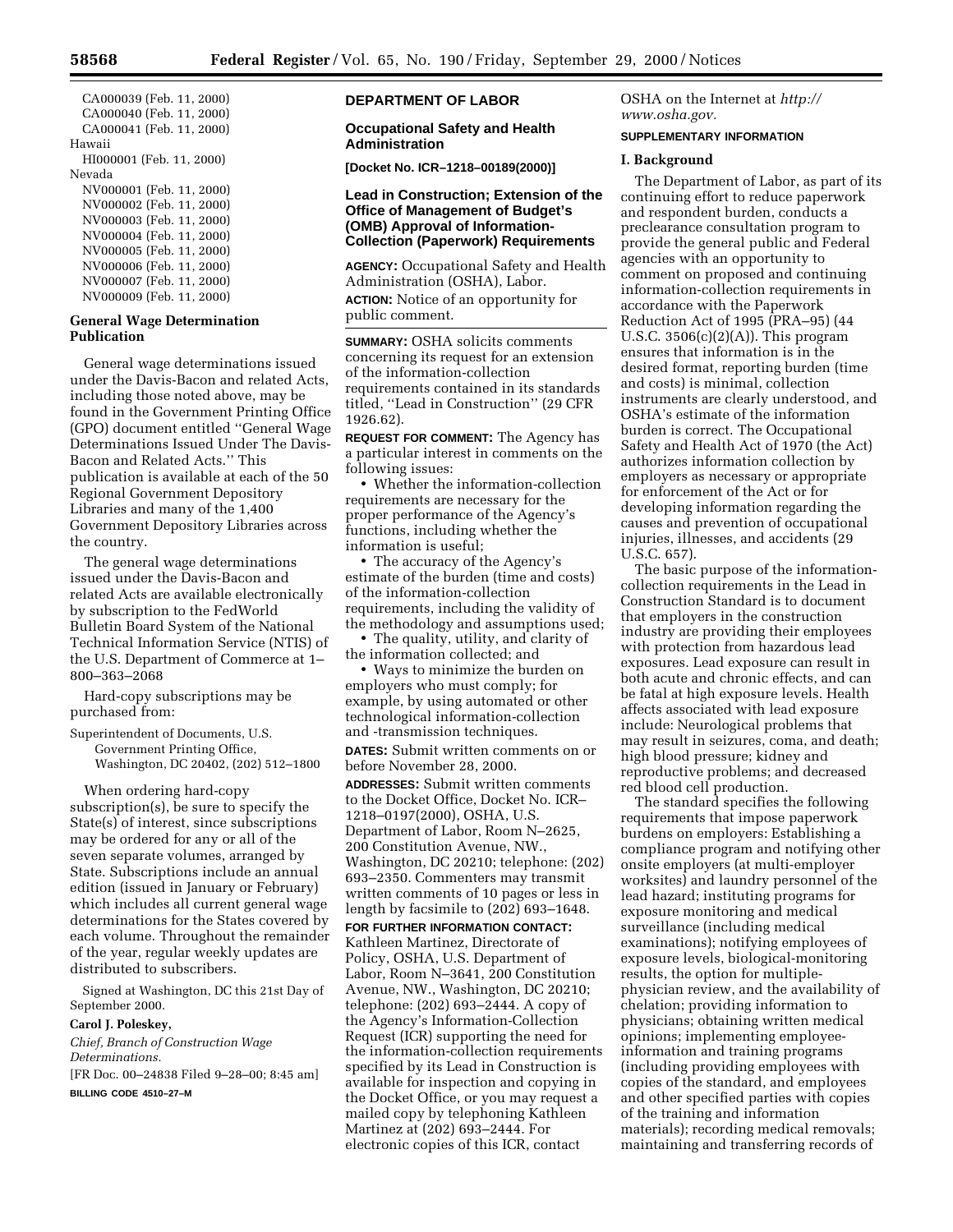CA000039 (Feb. 11, 2000) CA000040 (Feb. 11, 2000) CA000041 (Feb. 11, 2000) Hawaii HI000001 (Feb. 11, 2000) Nevada NV000001 (Feb. 11, 2000) NV000002 (Feb. 11, 2000) NV000003 (Feb. 11, 2000) NV000004 (Feb. 11, 2000) NV000005 (Feb. 11, 2000) NV000006 (Feb. 11, 2000) NV000007 (Feb. 11, 2000) NV000009 (Feb. 11, 2000)

## **General Wage Determination Publication**

General wage determinations issued under the Davis-Bacon and related Acts, including those noted above, may be found in the Government Printing Office (GPO) document entitled ''General Wage Determinations Issued Under The Davis-Bacon and Related Acts.'' This publication is available at each of the 50 Regional Government Depository Libraries and many of the 1,400 Government Depository Libraries across the country.

The general wage determinations issued under the Davis-Bacon and related Acts are available electronically by subscription to the FedWorld Bulletin Board System of the National Technical Information Service (NTIS) of the U.S. Department of Commerce at 1– 800–363–2068

Hard-copy subscriptions may be purchased from:

Superintendent of Documents, U.S. Government Printing Office, Washington, DC 20402, (202) 512–1800

When ordering hard-copy subscription(s), be sure to specify the State(s) of interest, since subscriptions may be ordered for any or all of the seven separate volumes, arranged by State. Subscriptions include an annual edition (issued in January or February) which includes all current general wage determinations for the States covered by each volume. Throughout the remainder of the year, regular weekly updates are distributed to subscribers.

Signed at Washington, DC this 21st Day of September 2000.

#### **Carol J. Poleskey,**

*Chief, Branch of Construction Wage Determinations.* [FR Doc. 00–24838 Filed 9–28–00; 8:45 am]

**BILLING CODE 4510–27–M**

# **DEPARTMENT OF LABOR**

### **Occupational Safety and Health Administration**

**[Docket No. ICR–1218–00189(2000)]**

## **Lead in Construction; Extension of the Office of Management of Budget's (OMB) Approval of Information-Collection (Paperwork) Requirements**

**AGENCY:** Occupational Safety and Health Administration (OSHA), Labor.

**ACTION:** Notice of an opportunity for public comment.

**SUMMARY:** OSHA solicits comments concerning its request for an extension of the information-collection requirements contained in its standards titled, ''Lead in Construction'' (29 CFR 1926.62).

**REQUEST FOR COMMENT:** The Agency has a particular interest in comments on the following issues:

• Whether the information-collection requirements are necessary for the proper performance of the Agency's functions, including whether the information is useful;

• The accuracy of the Agency's estimate of the burden (time and costs) of the information-collection requirements, including the validity of the methodology and assumptions used;

• The quality, utility, and clarity of the information collected; and

• Ways to minimize the burden on employers who must comply; for example, by using automated or other technological information-collection and -transmission techniques.

**DATES:** Submit written comments on or before November 28, 2000.

**ADDRESSES:** Submit written comments to the Docket Office, Docket No. ICR– 1218–0197(2000), OSHA, U.S. Department of Labor, Room N–2625, 200 Constitution Avenue, NW., Washington, DC 20210; telephone: (202) 693–2350. Commenters may transmit written comments of 10 pages or less in length by facsimile to (202) 693–1648.

**FOR FURTHER INFORMATION CONTACT:** Kathleen Martinez, Directorate of Policy, OSHA, U.S. Department of Labor, Room N–3641, 200 Constitution Avenue, NW., Washington, DC 20210; telephone: (202) 693–2444. A copy of the Agency's Information-Collection Request (ICR) supporting the need for the information-collection requirements specified by its Lead in Construction is available for inspection and copying in the Docket Office, or you may request a mailed copy by telephoning Kathleen Martinez at (202) 693–2444. For electronic copies of this ICR, contact

OSHA on the Internet at *http:// www.osha.gov.*

### **SUPPLEMENTARY INFORMATION**

#### **I. Background**

The Department of Labor, as part of its continuing effort to reduce paperwork and respondent burden, conducts a preclearance consultation program to provide the general public and Federal agencies with an opportunity to comment on proposed and continuing information-collection requirements in accordance with the Paperwork Reduction Act of 1995 (PRA–95) (44 U.S.C. 3506(c)(2)(A)). This program ensures that information is in the desired format, reporting burden (time and costs) is minimal, collection instruments are clearly understood, and OSHA's estimate of the information burden is correct. The Occupational Safety and Health Act of 1970 (the Act) authorizes information collection by employers as necessary or appropriate for enforcement of the Act or for developing information regarding the causes and prevention of occupational injuries, illnesses, and accidents (29 U.S.C. 657).

The basic purpose of the informationcollection requirements in the Lead in Construction Standard is to document that employers in the construction industry are providing their employees with protection from hazardous lead exposures. Lead exposure can result in both acute and chronic effects, and can be fatal at high exposure levels. Health affects associated with lead exposure include: Neurological problems that may result in seizures, coma, and death; high blood pressure; kidney and reproductive problems; and decreased red blood cell production.

The standard specifies the following requirements that impose paperwork burdens on employers: Establishing a compliance program and notifying other onsite employers (at multi-employer worksites) and laundry personnel of the lead hazard; instituting programs for exposure monitoring and medical surveillance (including medical examinations); notifying employees of exposure levels, biological-monitoring results, the option for multiplephysician review, and the availability of chelation; providing information to physicians; obtaining written medical opinions; implementing employeeinformation and training programs (including providing employees with copies of the standard, and employees and other specified parties with copies of the training and information materials); recording medical removals; maintaining and transferring records of